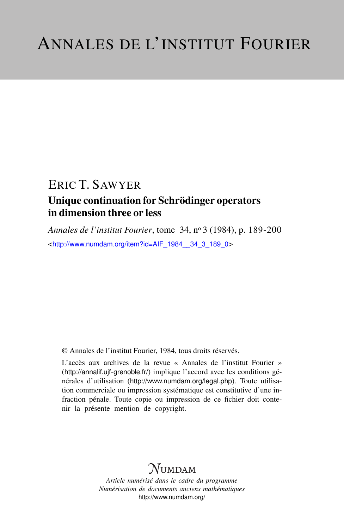## ERIC T. SAWYER

## Unique continuation for Schrödinger operators in dimension three or less

*Annales de l'institut Fourier*, tome 34, n<sup>o</sup> 3 (1984), p. 189-200 <[http://www.numdam.org/item?id=AIF\\_1984\\_\\_34\\_3\\_189\\_0](http://www.numdam.org/item?id=AIF_1984__34_3_189_0)>

© Annales de l'institut Fourier, 1984, tous droits réservés.

L'accès aux archives de la revue « Annales de l'institut Fourier » (<http://annalif.ujf-grenoble.fr/>) implique l'accord avec les conditions générales d'utilisation (<http://www.numdam.org/legal.php>). Toute utilisation commerciale ou impression systématique est constitutive d'une infraction pénale. Toute copie ou impression de ce fichier doit contenir la présente mention de copyright.

# NUMDAM

*Article numérisé dans le cadre du programme Numérisation de documents anciens mathématiques* <http://www.numdam.org/>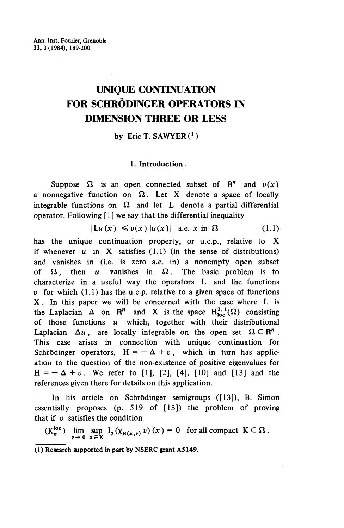## **UNIQUE CONTINUATION FOR SCHRÖDINGER OPERATORS IN DIMENSION THREE OR LESS**

## by Eric T. SAWYER $(^1)$

### **1. Introduction.**

Suppose  $\Omega$  is an open connected subset of  $\mathbb{R}^n$  and  $v(x)$ a nonnegative function on  $\Omega$ . Let X denote a space of locally integrable functions on  $\Omega$  and let L denote a partial differential operator. Following  $[1]$  we say that the differential inequality

$$
|Lu(x)| \leq v(x) |u(x)| \quad \text{a.e. } x \text{ in } \Omega \tag{1.1}
$$

has the unique continuation property, or u.c.p., relative to X if whenever  $u$  in X satisfies  $(1,1)$  (in the sense of distributions) and vanishes in (i.e. is zero a.e. in) a nonempty open subset of  $\Omega$ , then *u* vanishes in  $\Omega$ . The basic problem is to characterize in a useful way the operators L and the functions  $v$  for which  $(1.1)$  has the u.c.p. relative to a given space of functions X. In this paper we will be concerned with the case where L is the Laplacian  $\Delta$  on  $\mathbb{R}^n$  and X is the space  $H^{2,1}_{loc}(\Omega)$  consisting of those functions *u* which, together with their distributional Laplacian  $\Delta u$ , are locally integrable on the open set  $\Omega \subset \mathbb{R}^n$ . This case arises in connection with unique continuation for Schrödinger operators,  $H = -\Delta + v$ , which in turn has application to the question of the non-existence of positive eigenvalues for  $H=-\Delta+v$ . We refer to [1], [2], [4], [10] and [13] and the references given there for details on this application.

In his article on Schrödinger semigroups ([13]), B. Simon essentially proposes (p. 519 of [13]) the problem of proving that if *v* satisfies the condition

 $(K_n^{\text{loc}})$   $\lim_{r\to 0} \sup_{x\in K} I_2(x_{B(x,r)} v)(x) = 0$  for all compact  $K \subset \Omega$ ,

<sup>(1)</sup> Research supported in part by NSERC grant A5149.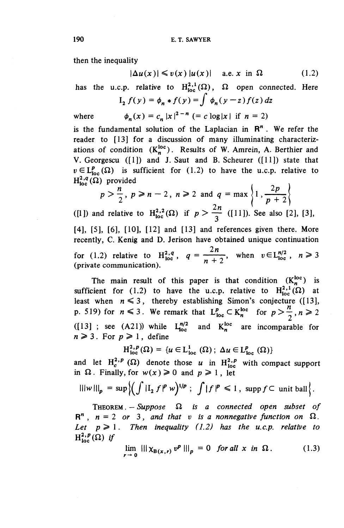then the inequality

$$
|\Delta u(x)| \leq v(x) |u(x)| \quad \text{a.e. } x \text{ in } \Omega \tag{1.2}
$$

has the u.c.p. relative to  $H^{2,1}_{loc}(\Omega)$ ,  $\Omega$  open connected. Here

$$
I_2 f(y) = \phi_n * f(y) = \int \phi_n(y - z) f(z) dz
$$

 $where$ 

$$
\phi_n(x) = c_n |x|^{2-n} (= c \log|x| \text{ if } n = 2)
$$

is the fundamental solution of the Laplacian in  $\mathbb{R}^n$ . We refer the reader to [13] for a discussion of many illuminating characterizations of condition  $(K_n^{loc})$ . Results of W. Amrein, A. Berthier and V. Georgescu ([!]) and J. Saut and B. Scheurer ([11]) state that  $v \in L_{loc}^p(\Omega)$  is sufficient for (1.2) to have the u.c.p. relative to  $H^{2,q}_{loc}(\Omega)$  provided

$$
p > \frac{n}{2}, p \ge n - 2, n \ge 2 \text{ and } q = \max\left\{1, \frac{2p}{p+2}\right\}
$$

([1]) and relative to  $H^{2,2}_{loc}(\Omega)$  if  $p > \frac{2n}{2}$  ([11]). See also [2], [3], [4], [5], [6], [10], [12] and [13] and references given there. More recently, C. Kenig and D. Jerison have obtained unique continuation for (1.2) relative to  $H^{2,q}_{loc}$ ,  $q = \frac{2n}{n+2}$ , when  $v \in L^{n/2}_{loc}$ ,  $n \ge 3$ (private communication).

The main result of this paper is that condition  $(K_n^{loc})$  is sufficient for (1.2) to have the u.c.p. relative to  $H^{2,1}_{loc}(\Omega)$  at least when  $n \leq 3$ , thereby establishing Simon's conjecture ([13], p. 519) for  $n \leq 3$ . We remark that  $L^p_{loc} \subset K^{\text{loc}}_n$  for  $p > \frac{n}{2}$ ,  $n \geq 2$ ([13] ; see (A21)) while  $L_{\text{loc}}^{n/2}$ and  $K_n^{\text{loc}}$  are incomparable for  $n \geq 3$ . For  $p \geq 1$ , define

$$
H^{2, p}_{loc}(\Omega) = \{u \in L^{1}_{loc}(\Omega); \Delta u \in L^{p}_{loc}(\Omega)\}\
$$

and let  $H^{2,p}_c(\Omega)$  denote those *u* in  $H^{2,p}_{loc}$  with compact support in  $\Omega$ . Finally, for  $w(x) \ge 0$  and  $p \ge 1$ , let

$$
\|f\|_{\mathfrak{p}} = \sup \Big\{ \Big( \int |I_2 f|^p w \Big)^{1/p} \; ; \; \int |f|^p \leq 1 \, , \; \mathrm{supp} \, f \subset \mathrm{unit \, ball} \Big\}.
$$

THEOREM  $-$  Suppose  $\Omega$  is a connected open subset of  $R^n$ ,  $n = 2$  or 3, and that v is a nonnegative function on  $\Omega$ . *Let*  $p \ge 1$ . Then inequality (1.2) has the u.c.p. relative to  $H^{2,p}_{loc}(\Omega)$  if

$$
\lim_{r \to 0} \left\| \|\chi_{B(x,r)} v^p\| \right\|_p = 0 \quad \text{for all } x \text{ in } \Omega. \tag{1.3}
$$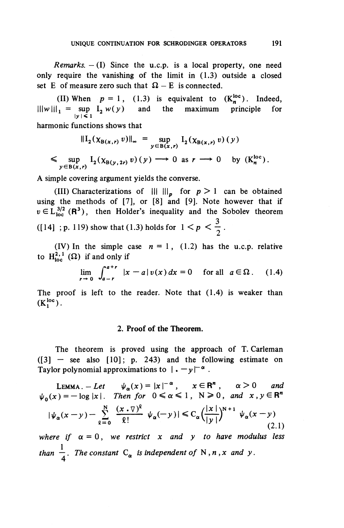*Remarks.* – (I) Since the u.c.p. is a local property, one need only require the vanishing of the limit in (1.3) outside a closed set E of measure zero such that  $\Omega - E$  is connected.

(II) When  $p=1$ , (1.3) is equivalent to  $(K_n^{loc})$ . Indeed,  $\| \|w\| \|_1 = \sup I^2 \mathcal{W}(y)$  and the maximum principle for *\y\<* l

harmonic functions shows that

 $\left\| I_2(\chi_{B(x,r)} v) \right\|_{\infty} = \sup_{y \in B(x,r)} I_2(\chi_{B(x,r)} v) (y)$  $\leq \sup_{y \in B(x,r)} I_2(\chi_{B(y,2r)} v)(y) \longrightarrow 0$  as  $r \longrightarrow 0$  by  $(K_n^{\text{loc}})$ .

A simple covering argument yields the converse.

(III) Characterizations of  $\| \| \|_p$  for  $p > 1$  can be obtained using the methods of [7], or [8] and [9]. Note however that if  $v \in L^{3/2}_{loc}$  (R<sup>3</sup>), then Holder's inequality and the Sobolev theorem ([14] ; p. 119) show that (1.3) holds for  $1 < p < \frac{3}{2}$ .

(IV) In the simple case  $n = 1$ , (1.2) has the u.c.p. relative to  $H^{2,1}_{loc}(\Omega)$  if and only if

$$
\lim_{r \to 0} \int_{a-r}^{a+r} |x - a| v(x) dx = 0 \quad \text{for all} \quad a \in \Omega. \tag{1.4}
$$

The proof is left to the reader. Note that  $(1.4)$  is weaker than  $(K_1^{loc})$ .

#### 2. Proof of the Theorem.

The theorem is proved using the approach of T. Carleman  $([3]$  — see also  $[10]$ ; p. 243) and the following estimate on ([3]  $-$  see also [10]; p. 243) and the follently raylor polynomial approximations to  $| \cdot -y|^{-\alpha}$ .

LEMMA. - Let  $\psi_{\alpha}(x) = |x|^{-\alpha}$ ,  $x \in \mathbb{R}^{n}$ ,  $\alpha > 0$  and  $\psi_{\alpha}(x)=-\log |x|$ . Then for  $0\leq \alpha\leq 1$ ,  $N\geq 0$ , and  $x, y\in\mathbb{R}^{n}$  $|\psi_{\alpha}(x-y)-\sum_{\alpha=0}^{N}\frac{(x\cdot \nabla)^{\alpha}}{\ell!} |\psi_{\alpha}(-y)| \leq C_{\alpha}\Big(\frac{|x|}{|y|}\Big)^{N+1} |\psi_{\alpha}(x-y)|$ (2.) (2.1) *where if*  $\alpha = 0$ , we restrict x and y to have modulus less

*than*  $\frac{1}{4}$ *. The constant*  $C_{\alpha}$  *is independent of* N, n, x and y.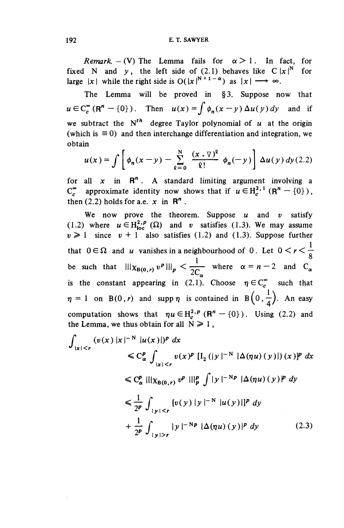*Remark.* – (V) The Lemma fails for  $\alpha > 1$ . In fact, for fixed N and y, the left side of  $(2.1)$  behaves like  $C|x|^N$  for large  $|x|$  while the right side is  $O(|x|^{N+1-\alpha})$  as  $|x| \longrightarrow \infty$ .

The Lemma will be proved in §3. Suppose now that  $u \in C_c^{\infty}(\mathbb{R}^n - \{0\})$ . Then  $u(x) = \int \phi_n(x - y) \Delta u(y) dy$  and if we subtract the  $N^{th}$  degree Taylor polynomial of  $u$  at the origin (which is  $\equiv 0$ ) and then interchange differentiation and integration, we obtain where  $\mathcal{U}(x) = \int \phi_n(x-y) \Delta u(y) dy$  and if<br>ubtract the N<sup>th</sup> degree Taylor polynomial of u at the origin<br>ch is  $\equiv 0$ ) and then interchange differentiation and integration, we<br>in<br> $u(x) = \int \left[ \phi_n(x-y) - \sum_{\ell=0}^N \frac{(x \cdot \nabla)^{\ell}}{\ell!} \$ 

$$
u(x) = \int \left[ \phi_n(x - y) - \sum_{\rho=0}^N \frac{(x \cdot \nabla)^{\rho}}{\rho!} \phi_n(-y) \right] \Delta u(y) dy (2.2)
$$

for all  $x$  in  $\mathbb{R}^n$ . A standard limiting argument involving a  $C^{\infty}_{\epsilon}$  approximate identity now shows that if  $u \in H^{2,1}_{\epsilon}$  (R<sup>n</sup> – {0}), then (2.2) holds for a.e.  $x$  in  $\mathbb{R}^n$ .

We now prove the theorem. Suppose *u* and *v* satisfy (1.2) where  $u \in H^{2,p}_{loc}(\Omega)$  and v satisfies (1.3). We may assume  $v \ge 1$  since  $v + 1$  also satisfies (1.2) and (1.3). Suppose further that  $0 \in \Omega$  and *u* vanishes in a neighbourhood of 0. Let  $0 < r < \frac{1}{\Omega}$  $\frac{1}{1}$   $\frac{1}{1}$   $\frac{2}{1}$   $\frac{3}{1}$ be such that  $\left|\left|\right|\right\rangle_{\mathcal{R}_{B(0,r)}} v^p\right|\left|\right|_p < \frac{1}{2C_\alpha}$  where  $\alpha = n-2$  and  $C_\alpha$ is the constant appearing in  $(2,1)$ . Choose  $\eta \in C_c^{\infty}$  such that  $\eta = 1$  on B(0,*r*) and supp  $\eta$  is contained in B(0, $\frac{1}{4}$ ). An easy computation shows that  $\eta u \in H_c^{2,p}(\mathbb{R}^n - \{0\})$ . Using (2.2) and the Lemma, we thus obtain for all  $N \ge 1$ ,

$$
\int_{|x| < r} (v(x) |x|^{-N} |u(x)|)^p \, dx
$$
\n
$$
\leq C_{\alpha}^p \int_{|x| < r} v(x)^p [I_2(|y|^{-N} | \Delta(\eta u)(y)|) (x)]^p \, dx
$$
\n
$$
\leq C_{\alpha}^p \left\| | \chi_{B(0,r)} v^p | ||_p^p \int |y|^{-Np} | \Delta(\eta u)(y)|^p \, dy \right\}
$$
\n
$$
\leq \frac{1}{2^p} \int_{|y| < r} [v(y) |y|^{-N} |u(y)|]^p \, dy
$$
\n
$$
+ \frac{1}{2^p} \int_{|y| > r} |y|^{-Np} | \Delta(\eta u)(y)|^p \, dy \tag{2.3}
$$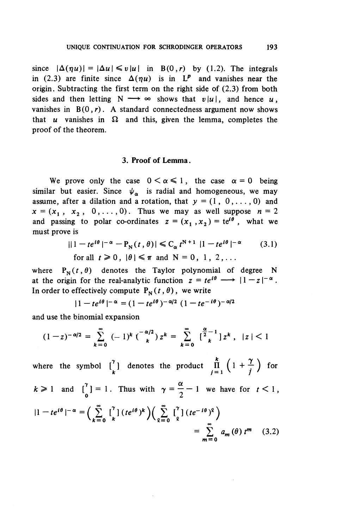since  $|\Delta(\eta u)| = |\Delta u| \le v|u|$  in B(0,r) by (1.2). The integrals in (2.3) are finite since  $\Delta(\eta u)$  is in  $\bar{L}^p$  and vanishes near the origin. Subtracting the first term on the right side of (2.3) from both sides and then letting  $N \rightarrow \infty$  shows that  $v|u|$ , and hence *u*. vanishes in  $B(0, r)$ . A standard connectedness argument now shows that  $u$  vanishes in  $\Omega$  and this, given the lemma, completes the proof of the theorem.

### **3. Proof of Lemma.**

We prove only the case  $0 < \alpha \le 1$ , the case  $\alpha = 0$  being similar but easier. Since  $\psi_{\alpha}$  is radial and homogeneous, we may assume, after a dilation and a rotation, that  $y = (1, 0, \ldots, 0)$  and  $x = (x_1, x_2, 0, \ldots, 0)$ . Thus we may as well suppose  $n = 2$ and passing to polar co-ordinates  $z = (x_1, x_2) = te^{i\theta}$ , what we must prove is

$$
||1 - te^{i\theta}|^{-\alpha} - P_N(t, \theta)| \leq C_{\alpha} t^{N+1} |1 - te^{i\theta}|^{-\alpha}
$$
 (3.1)  
for all  $t \geq 0$ ,  $|\theta| \leq \pi$  and  $N = 0, 1, 2, ...$ 

where  $P_N(t, \theta)$  denotes the Taylor polynomial of degree N at the origin for the real-analytic function  $z = te^{i\theta} \longrightarrow |1-z|^{-\alpha}$ . In order to effectively compute  $P<sub>N</sub>(t, \theta)$ , we write

$$
|1 - te^{i\theta}|^{-\alpha} = (1 - te^{i\theta})^{-\alpha/2} (1 - te^{-i\theta})^{-\alpha/2}
$$

and use the binomial expansion

$$
(1-z)^{-\alpha/2} = \sum_{k=0}^{\infty} (-1)^k {\binom{-\alpha/2}{k}} z^k = \sum_{k=0}^{\infty} {\binom{\frac{\alpha}{2}-1}{k}} z^k, \quad |z| < 1
$$

where the symbol  $\begin{bmatrix} \gamma \\ k \end{bmatrix}$  denotes the product  $\prod_{j=1}^{k} \left(1 + \frac{\gamma}{j}\right)$  for  $k > 1$  and  $\begin{bmatrix} 1 \ 0 \end{bmatrix} = 1$ . Thus with  $\gamma = \frac{\alpha}{2} - 1$  we have for  $t < 1$  $\left|1-te^{i\theta}\right|^{-\alpha}=\left(\sum_{i=1}^{8}\left[\int_{e_i}^{\gamma}(\left(e^{i\theta}\right)^k\right)\left(\sum_{i=1}^{8}\left[\int_{e_i}^{\gamma}(\left(e^{-i\theta}\right)^q\right)\right)\right]$  $\left(\sum_{k=0}^{\infty} \binom{1}{k} (te^{ix})^n \right) \left(\sum_{k=0}^{\infty} \binom{1}{k} (te^{-ix})^k \right)$  $\left(\frac{1}{e^{-i\theta}}\right)^{2}$  =  $\sum_{m=0}^{\infty} a_m(\theta) t^{m}$  $\sum_{m=0} a_m (\theta) t^m$  (3.2)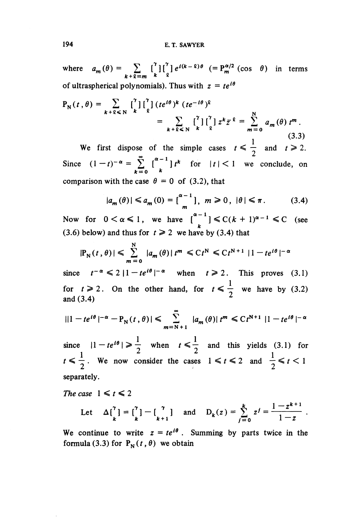where  $a_m(\theta) = \sum_{m} {^{r} \prod_{o}^{r} e^{i(k-2)\theta}} (-P_m^{\alpha/2} (\cos \theta) )$  in terms  $k+\overline{\ell}=m$   $k$   $\Omega$ of ultraspherical polynomials). Thus with  $z = te^{i\theta}$ 

$$
P_N(t, \theta) = \sum_{k+\ell \le N} \begin{bmatrix} \gamma \\ k \end{bmatrix} \begin{bmatrix} \gamma \\ \ell \end{bmatrix} (te^{i\theta})^k (te^{-i\theta})^{\ell}
$$
  
\n
$$
= \sum_{k+\ell \le N} \begin{bmatrix} \gamma \\ k \end{bmatrix} \begin{bmatrix} \gamma \\ \ell \end{bmatrix} z^k \overline{z}^{\ell} = \sum_{m=0}^N a_m(\theta) t^m.
$$
  
\n(3.3)  
\nWe first dispose of the simple cases  $t \le \frac{1}{2}$  and  $t \ge 2$ .

Since  $(1-t)^{-\alpha} = \sum_{k=0}^{\infty} {\binom{\alpha-1}{k}} t^k$  for  $|t| < 1$  we conclude, on comparison with the case  $\theta = 0$  of (3.2), that

$$
|a_m(\theta)| \le a_m(0) = \left[\begin{array}{c} \alpha - 1 \\ m \end{array}\right], \ m \ge 0, \ |\theta| \le \pi. \tag{3.4}
$$

Now for  $0 < \alpha \leq 1$ , we have  $\left[\frac{\alpha - 1}{k}\right] \leq C(k + 1)^{\alpha - 1} \leq C$  (see (3.6) below) and thus for  $t \ge 2$  we have by (3.4) that

$$
|\mathbb{P}_{\mathbb{N}}(t,\theta)| \leqslant \sum_{m=0}^{\mathbb{N}} |a_m(\theta)| t^m \leqslant C t^{\mathbb{N}} \leqslant C t^{N+1} |1-t e^{i\theta}|^{-\alpha}
$$

since  $t^{-\alpha} \leq 2 |1 - te^{i\theta}|^{-\alpha}$  when  $t \geq 2$ . This proves (3.1) for  $t \ge 2$ . On the other hand, for  $t \le \frac{1}{2}$  we have by (3.2) and (3.4)

$$
||1 - te^{i\theta}|^{-\alpha} - P_N(t, \theta)| \leq \sum_{m=N+1}^{\infty} |a_m(\theta)| t^m \leq Ct^{N+1} |1 - te^{i\theta}|^{-\alpha}
$$

since  $|1 - te^{i\theta}| \ge \frac{1}{2}$  when  $t \le \frac{1}{2}$  and this yields (3.1) for  $t \leq \frac{1}{2}$ . We now consider the cases  $1 \leq t \leq 2$  and  $\frac{1}{2} \leq t < 1$ separately.

The case  $1 \le t \le 2$ 

Let 
$$
\Delta\begin{bmatrix} 1 \ k \end{bmatrix} = \begin{bmatrix} 1 \ k \end{bmatrix} - \begin{bmatrix} 1 \ k+1 \end{bmatrix}
$$
 and  $D_k(z) = \sum_{j=0}^k z^j = \frac{1-z^{k+1}}{1-z}$ .

We continue to write  $z = te^{i\theta}$ . Summing by parts twice in the formula (3.3) for  $P^N(t, \theta)$  we obtain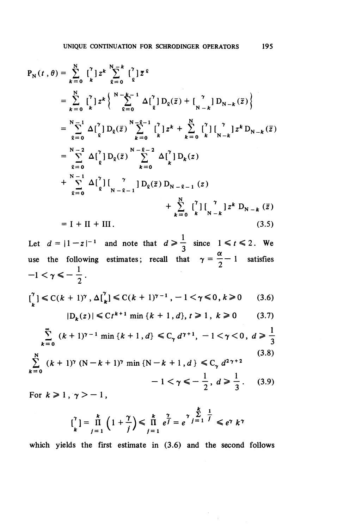$$
P_{N}(t, \theta) = \sum_{k=0}^{N} \begin{bmatrix} 7 \\ k \end{bmatrix} z^{k} \sum_{\ell=0}^{N-k} \begin{bmatrix} 7 \\ 2 \end{bmatrix} \overline{z}^{k}
$$
  
\n
$$
= \sum_{k=0}^{N} \begin{bmatrix} 7 \\ k \end{bmatrix} z^{k} \begin{Bmatrix} \sum_{k=0}^{N-k-1} \Delta \begin{bmatrix} 7 \\ 2 \end{bmatrix} D_{\ell}(\overline{z}) + \begin{bmatrix} 7 \\ N-k \end{bmatrix} D_{N-k}(\overline{z}) \end{Bmatrix}
$$
  
\n
$$
= \sum_{k=0}^{N-1} \Delta \begin{bmatrix} 7 \\ 2 \end{bmatrix} D_{\ell}(\overline{z}) \sum_{k=0}^{N-2-1} \begin{bmatrix} 7 \\ k \end{bmatrix} z^{k} + \sum_{k=0}^{N} \begin{bmatrix} 7 \\ k \end{bmatrix} \begin{bmatrix} 7 \\ N-k \end{bmatrix} z^{k} D_{N-k}(\overline{z})
$$
  
\n
$$
= \sum_{k=0}^{N-2} \Delta \begin{bmatrix} 7 \\ 2 \end{bmatrix} D_{\ell}(\overline{z}) \sum_{k=0}^{N-2-2} \Delta \begin{bmatrix} 7 \\ 2 \end{bmatrix} D_{k}(z)
$$
  
\n
$$
+ \sum_{k=0}^{N-1} \Delta \begin{bmatrix} 7 \\ 2 \end{bmatrix} \begin{bmatrix} 7 \\ N-k-1 \end{bmatrix} D_{\ell}(\overline{z}) D_{N-2-1}(z)
$$
  
\n
$$
+ \sum_{k=0}^{N} \begin{bmatrix} 7 \\ k \end{bmatrix} \begin{bmatrix} 7 \\ N-k \end{bmatrix} z^{k} D_{N-k}(\overline{z})
$$
  
\n
$$
= I + II + III.
$$
  
\n(3.5)  
\nLet  $d = |1-z|^{-1}$  and note that  $d \ge \frac{1}{2}$  since  $1 \le t \le 2$ . We

use the following estimates; recall that  $\gamma = \frac{\alpha}{2} - 1$  satisfies  $-1 < \gamma \leqslant -\frac{1}{2}$ .  $\binom{\gamma}{k} \le C(k+1)^{\gamma}, \Delta \binom{\gamma}{k} \le C(k+1)^{\gamma-1}, -1 < \gamma \le 0, k \ge 0$  (3.6)  $|D_k(z)| \leq C t^{k+1}$  min  $\{k+1, d\}, t \geq 1, k \geq 0$  (3.7)  $\sum_{k=1}^{\infty} (k+1)^{\gamma-1} \min\{k+1, d\} \leq C_{\gamma} d^{\gamma+1}, -1 < \gamma < 0, d \geq \frac{1}{2}$  $t = 0$  ( $\lambda + 1$ )  $\lim_{x \to 0} \lambda + 1$ ,  $a_1 \leq c_\gamma a$ ,  $1 \leq t \leq 0$ ,  $a \geq 3$ N (3.8)<br>  $\sum_{k=1}^{N} (k+1)^{\gamma} (N-k+1)^{\gamma} \min \{N-k+1, d\} \leq C_{\gamma} d^{2\gamma+2}$  (3.8)  $-1 < \gamma \leq -\frac{1}{2}, d \geq \frac{1}{3}.$  (3.9) For  $k \geqslant 1$ ,  $\gamma > -1$ , *k* i

$$
\begin{bmatrix} \gamma \\ k \end{bmatrix} = \frac{k}{\prod_{j=1}^{k} \left( 1 + \frac{\gamma}{j} \right)} \leq \frac{k}{\prod_{j=1}^{k} e^{\frac{\gamma}{j}} = e^{\gamma} \frac{\sum_{j=1}^{k} \frac{1}{j}}{1} \leq e^{\gamma} k^{\gamma}
$$

which yields the first estimate in (3.6) and the second follows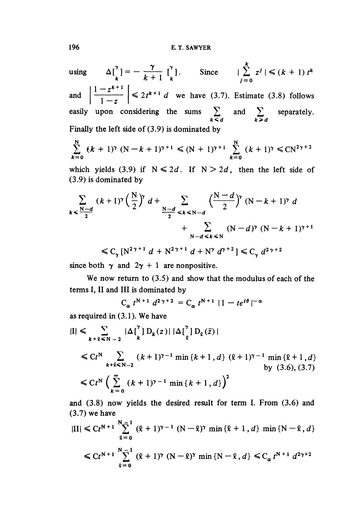using  $\Delta \begin{bmatrix} x \\ k \end{bmatrix} = -\frac{\gamma}{k+1} \begin{bmatrix} x \\ k \end{bmatrix}$ . Since  $\int_{j=0}^{k} z^j |\leq (k+1) t^k$ and  $\left|\frac{1-z^{k+1}}{1-z}\right| \leq 2t^{k+1}$  *d* we have (3.7). Estimate (3.8) follows easily upon considering the sums  $\sum$  and  $\sum$  separately.

 $k \leq d$   $\qquad \qquad k \geq d$ Finally the left side of (3.9) is dominated by

$$
\sum_{k=0}^{N} (k+1)^{\gamma} (N-k+1)^{\gamma+1} \leq (N+1)^{\gamma+1} \sum_{k=0}^{N} (k+1)^{\gamma} \leq CN^{2\gamma+2}
$$

which yields (3.9) if  $N \le 2d$ . If  $N > 2d$ , then the left side of (3.9) is dominated by

$$
\sum_{k < \frac{N-d}{2}} (k+1)^{\gamma} \left(\frac{N}{2}\right)^{\gamma} d + \sum_{\frac{N-d}{2} < k < N-d} \left(\frac{N-d}{2}\right)^{\gamma} (N-k+1)^{\gamma} d + \sum_{N-d < k < N} (N-d)^{\gamma} (N-k+1)^{\gamma+1}
$$
  

$$
\leq C_{\gamma} [N^{2\gamma+1} d + N^{2\gamma+1} d + N^{\gamma} d^{\gamma+2}] \leq C_{\gamma} d^{2\gamma+2}
$$

since both  $\gamma$  and  $2\gamma + 1$  are nonpositive.

We now return to (3.5) and show that the modulus of each of the terms I, II and III is dominated by d by<br><sup>2</sup> = C<sub>a</sub> t<sup>N + 1</sup> | 1 - te<sup>iθ</sup> |<sup>-c</sup>

 $C_{\alpha} t^{N+1} d^{2\gamma+1}$ 

as required in (3.1). We have

$$
|I| \leq \sum_{k+2 \leq N-2} |\Delta \begin{bmatrix} 7 \\ k \end{bmatrix} D_k(z)| |\Delta \begin{bmatrix} 7 \\ k \end{bmatrix} D_k(\bar{z})|
$$
  
\n
$$
\leq C t^N \sum_{k+2 \leq N-2} (k+1)^{\gamma-1} \min \{k+1, d\} (k+1)^{\gamma-1} \min \{k+1, d\}
$$
  
\nby (3.6), (3.7)  
\n
$$
\leq C t^N \left( \sum_{k=0}^{\infty} (k+1)^{\gamma-1} \min \{k+1, d\} \right)^2
$$

and (3.8) now yields the desired result for term I. From (3.6) and  $(3.7)$  we have

$$
|II| \le C t^{N+1} \sum_{\ell=0}^{N-1} (\ell+1)^{\gamma-1} (N-\ell)^{\gamma} \min \{ \ell+1, d \} \min \{ N-\ell, d \}
$$
  

$$
\le C t^{N+1} \sum_{\ell=0}^{N-1} (\ell+1)^{\gamma} (N-\ell)^{\gamma} \min \{ N-\ell, d \} \le C_{\alpha} t^{N+1} d^{2\gamma+2}
$$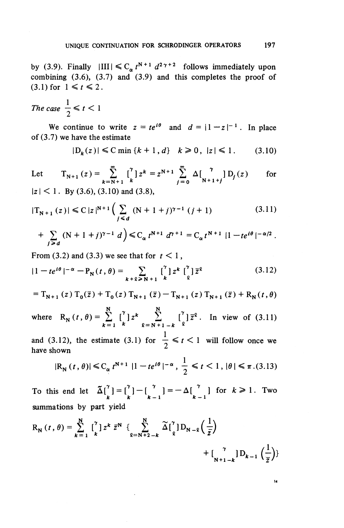by (3.9). Finally  $|III| \leq C_{\alpha} t^{N+1} d^{2\gamma+2}$  follows immediately upon combining  $(3.6)$ ,  $(3.7)$  and  $(3.9)$  and this completes the proof of  $(3.1)$  for  $1 \le t \le 2$ .

The case 
$$
\frac{1}{2} \leq t < 1
$$

We continue to write  $z = te^{i\theta}$  and  $d = |1 - z|^{-1}$ . In place of (3.7) we have the estimate

$$
|D_k(z)| \le C \min \{k+1, d\} \quad k \ge 0, \ |z| \le 1. \tag{3.10}
$$

Let 
$$
T_{N+1}(z) = \sum_{k=N+1}^{\infty} {7 \choose k} z^k = z^{N+1} \sum_{j=0}^{\infty} \Delta \left[ {7 \choose N+1+j} D_j(z) \right]
$$
 for

|z| < 1. **By (3.6), (3.10) and** (3.8),

$$
|T_{N+1}(z)| \leq C |z|^{N+1} \left( \sum_{j \leq d} (N+1+j)^{\gamma-1} (j+1) \right) \tag{3.11}
$$

$$
+ \sum_{j \geq d} (N + 1 + j)^{\gamma - 1} d \Big) \leq C_{\alpha} t^{N+1} d^{\gamma + 1} = C_{\alpha} t^{N+1} |1 - te^{i\theta}|^{-\alpha/2}.
$$

From  $(3.2)$  and  $(3.3)$  we see that for  $t < 1$ ,

$$
|1 - te^{i\theta}|^{-\alpha} - P_N(t, \theta) = \sum_{k+\ell \ge N+1} \left[ \begin{matrix} \gamma \\ k \end{matrix} \right] z^k \left[ \begin{matrix} \gamma \\ \ell \end{matrix} \right] \overline{z}^{\ell}
$$
 (3.12)

$$
=T_{N+1}(z) T_0(\bar{z})+T_0(z) T_{N+1}(\bar{z})-T_{N+1}(z) T_{N+1}(\bar{z})+R_N(t,\theta)
$$

where  $R_N(t, \theta) = \sum_{k=1}^N {\binom{r}{k}} z^k \sum_{\ell=N+1-k}^N {\binom{r}{k}} {\overline{z}}^{\ell}$ . In view of (3.11)

and (3.12), the estimate (3.1) for  $\frac{1}{2} \le t < 1$  will follow once we have shown

$$
|R_N(t, \theta)| \leq C_{\alpha} t^{N+1} |1 - te^{i\theta}|^{-\alpha}, \frac{1}{2} \leq t < 1, |\theta| \leq \pi.(3.13)
$$

To this end let  $\tilde{\Delta} \begin{bmatrix} x \\ k \end{bmatrix} = \begin{bmatrix} x \\ k-1 \end{bmatrix} = -\Delta \begin{bmatrix} x \\ k-1 \end{bmatrix}$  for  $k \ge 1$ . Two summations by part yield To this end let  $\tilde{\Delta} \begin{bmatrix} \tilde{r} \\ k \end{bmatrix} = \begin{bmatrix} \tilde{r} \\ k-1 \end{bmatrix} = -\Delta \begin{bmatrix} \tilde{r} \\ k-1 \end{bmatrix}$  for summations by part yield<br>  $R_N(t, \theta) = \sum_{k=1}^N \begin{bmatrix} \tilde{r} \\ k \end{bmatrix} z^k \bar{z}^N \begin{bmatrix} \sum_{l=N+2-k}^N \tilde{\Delta} \begin{bmatrix} \tilde{r} \\ \frac{l}{l} \end{bmatrix} D$ 

$$
R_N(t, \theta) = \sum_{k=1}^N \left[ \int_k^{\gamma} \left| z^k \, \bar{z}^N \right| \left\{ \sum_{\ell=N+2-k}^N \widetilde{\Delta} \left[ \int_\ell^{\gamma} \right] D_{N-\ell} \left( \frac{1}{\bar{z}} \right) \right. \right. \left. + \left[ \int_{N+1-k}^{\gamma} \left| D_{k-1} \left( \frac{1}{\bar{z}} \right) \right| \right] \right\}
$$

 $14$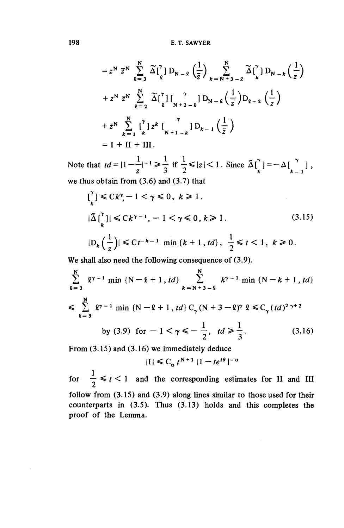$$
= z^N \bar{z}^N \sum_{\ell=3}^N \widetilde{\Delta} \left[ \begin{matrix} \gamma \\ \ell \end{matrix} \right] D_{N-\ell} \left( \frac{1}{\bar{z}} \right) \sum_{k=N+3-\ell}^N \widetilde{\Delta} \left[ \begin{matrix} \gamma \\ k \end{matrix} \right] D_{N-k} \left( \frac{1}{z} \right)
$$
  
+  $z^N \bar{z}^N \sum_{\ell=2}^N \widetilde{\Delta} \left[ \begin{matrix} \gamma \\ \ell \end{matrix} \right] \left[ \begin{matrix} \gamma \\ \gamma+2-\ell \end{matrix} \right] D_{N-\ell} \left( \frac{1}{\bar{z}} \right) D_{\ell-2} \left( \frac{1}{z} \right)$   
+  $\bar{z}^N \sum_{k=1}^N \left[ \begin{matrix} \gamma \\ k \end{matrix} \right] z^k \left[ \begin{matrix} \gamma \\ \gamma+1-k \end{matrix} \right] D_{k-1} \left( \frac{1}{\bar{z}} \right)$   
=  $I + II + III$ .

Note that  $td=|1-\frac{1}{z}|^{-1}\geqslant \frac{1}{3}$  if  $\frac{1}{2}\leqslant |z|<1$ . Since  $\tilde{\Delta}[\begin{matrix} \gamma \\ k \end{matrix}]=-\Delta[\begin{matrix} \gamma \\ k-1 \end{matrix}]$ , we thus obtain from (3.6) and (3.7) that

$$
\begin{aligned}\n\left[\frac{1}{k}\right] &\leq Ck^{\gamma}, -1 < \gamma \leq 0, \ k \geq 1. \\
|\tilde{\Delta} \left[\frac{1}{k}\right]| &\leq Ck^{\gamma-1}, -1 < \gamma \leq 0, \ k \geq 1. \\
\left|D_k\left(\frac{1}{z}\right)\right| &\leq Ct^{-k-1} \min\{k+1, td\}, \ \frac{1}{2} \leq t < 1, \ k \geq 0.\n\end{aligned} \tag{3.15}
$$

We shall also need the following consequence of  $(3.9)$ .

$$
\sum_{\ell=3}^{N} \ell^{\gamma-1} \min \{N-\ell+1, td\} \sum_{k=N+3-\ell}^{N} k^{\gamma-1} \min \{N-k+1, td\}
$$
  

$$
\leq \sum_{\ell=3}^{N} \ell^{\gamma-1} \min \{N-\ell+1, td\} C_{\gamma} (N+3-\ell)^{\gamma} \ell \leq C_{\gamma} (td)^{2 \gamma+2}
$$
  
by (3.9) for  $-1 < \gamma \leq -\frac{1}{2}$ ,  $td \geq \frac{1}{3}$ . (3.16)

**From (3.15) and (3.16) we immediately deduce**

$$
|I| \leq C_{\alpha} t^{N+1} |1 - te^{i\theta}|^{-\alpha}
$$

for  $\frac{1}{2} \leq t < 1$  and the corresponding estimates for II and III follow from (3.15) and (3.9) along lines similar to those used for their counterparts in (3.5). Thus (3.13) holds and this completes the proof of the Lemma.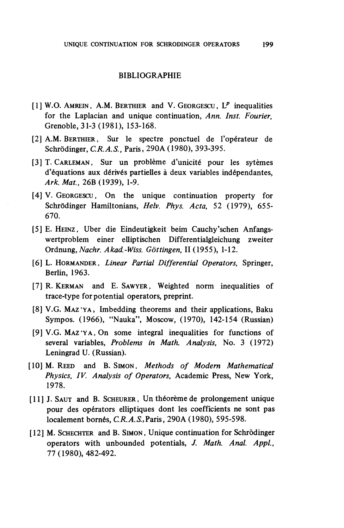### BIBLIOGRAPHIE

- [I] W.O. AMREIN, A.M. BERTHIER and V. GEORGESCU, *IP* inequalities for the Laplacian and unique continuation, *Ann. Inst. Fourier,* Grenoble, 31-3 (1981), 153-168.
- [2] A.M. BERTHIER, Sur Ie spectre ponctuel de Foperateur de Schrodinger, *C.R.A.S.,* Paris, 290A (1980), 393-395.
- [3] T. CARLEMAN, Sur un problème d'unicité pour les sytèmes d'équations aux dérivés partielles à deux variables indépendantes, Ark. Mat., 26B (1939), 1-9.
- [4] V. GEORGESCU, On the unique continuation property for Schrödinger Hamiltonians, *Helv. Phys. Acta*, 52 (1979), 655-670.
- [5] E. HEINZ. Uber die Eindeutigkeit beim Cauchy'schen Anfangswertproblem einer elliptischen Differentialgleichung zweiter Ordnung, *Nachr. Akad.-Wiss. Gottingen,* 11(1955), 1-12.
- [6] L. HORMANDER. *Linear Partial Differential Operators,* Springer, Berlin, 1963.
- [7] R. KERMAN and E. SAWYER, Weighted norm inequalities of trace-type for potential operators, preprint.
- [8] V.G. MAZ'YA, Imbedding theorems and their applications, Baku Sympos. (1966), "Nauka", Moscow, (1970), 142-154 (Russian)
- [9] V.G. MAZ'YA, On some integral inequalities for functions of several variables. *Problems in Math. Analysis,* No. 3 (1972) Leningrad U. (Russian).
- [10] M. REED and B. SIMON, *Methods of Modern Mathematical Physics, IV. Analysis of Operators,* Academic Press, New York, 1978.
- [11] J. SAUT and B. SCHEURER, Un théorème de prolongement unique pour des operators elliptiques dont les coefficients ne sont pas localement born6s, *CR. A.S.,* Paris, 290A (1980), 595-598.
- [12] M. SCHECHTER and B. SIMON, Unique continuation for Schrodinger operators with unbounded potentials, J. *Math. Anal. Appl.,* 77 (1980), 482-492.